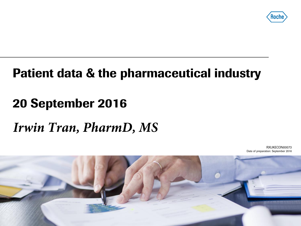

# **Patient data & the pharmaceutical industry**

# **20 September 2016**

# *Irwin Tran, PharmD, MS*

RXUKECON00073 Date of preparation: September 2016

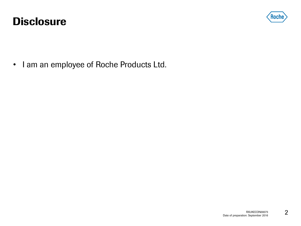#### **Disclosure**



• I am an employee of Roche Products Ltd.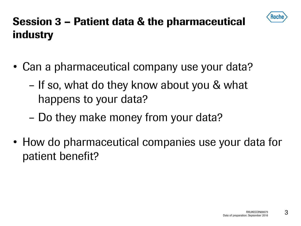

# **Session 3 – Patient data & the pharmaceutical industry**

- Can a pharmaceutical company use your data?
	- If so, what do they know about you & what happens to your data?
	- Do they make money from your data?
- How do pharmaceutical companies use your data for patient benefit?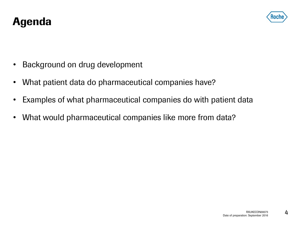

- Background on drug development
- What patient data do pharmaceutical companies have?
- Examples of what pharmaceutical companies do with patient data
- What would pharmaceutical companies like more from data?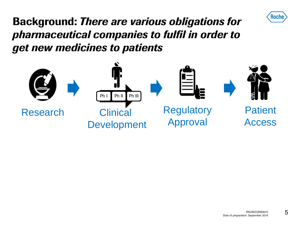

**Background:** *There are various obligations for pharmaceutical companies to fulfil in order to get new medicines to patients*

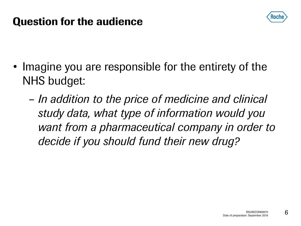

#### **Question for the audience**

- Imagine you are responsible for the entirety of the NHS budget:
	- *In addition to the price of medicine and clinical study data, what type of information would you want from a pharmaceutical company in order to decide if you should fund their new drug?*

6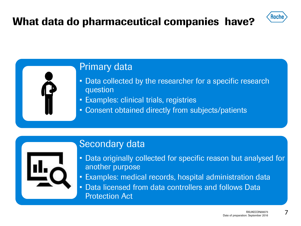## **What data do pharmaceutical companies have?**



#### Primary data

- Data collected by the researcher for a specific research question
- Examples: clinical trials, registries
- Consent obtained directly from subjects/patients

#### Secondary data



- Data originally collected for specific reason but analysed for another purpose
- Examples: medical records, hospital administration data
- Data licensed from data controllers and follows Data Protection Act

7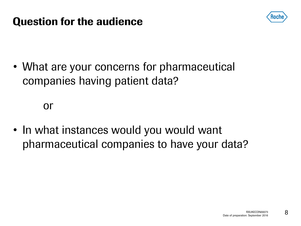

### **Question for the audience**

• What are your concerns for pharmaceutical companies having patient data?

or

• In what instances would you would want pharmaceutical companies to have your data?

8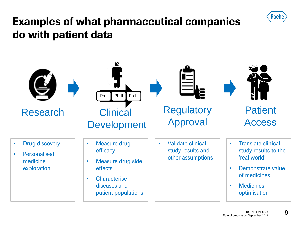

## **Examples of what pharmaceutical companies do with patient data**